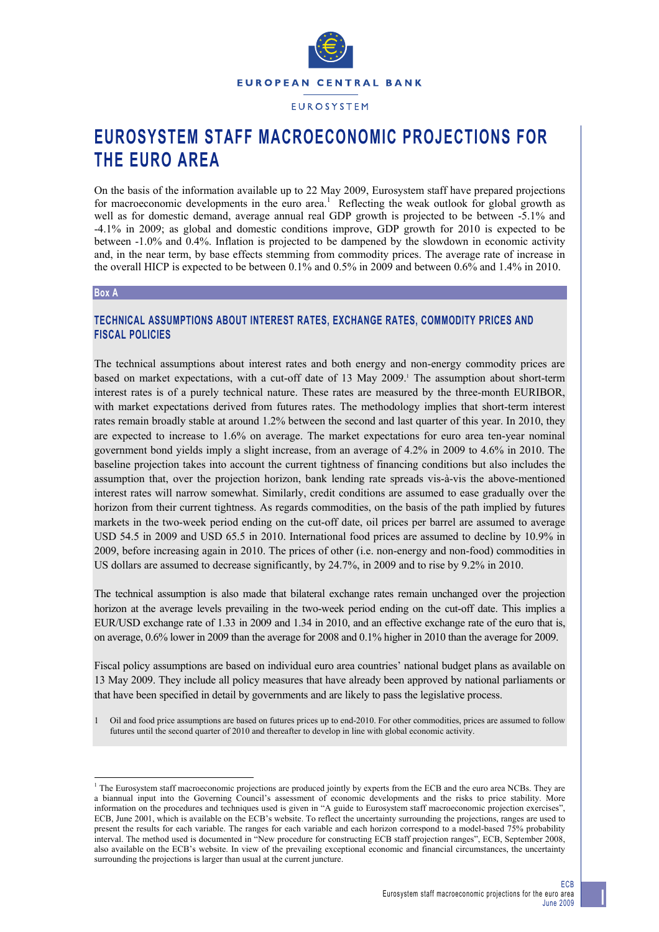

**EUROSYSTEM STAFF MACROECONOMIC PROJECTIONS FOR THE EURO AREA** 

On the basis of the information available up to 22 May 2009, Eurosystem staff have prepared projections for macroeconomic developments in the euro area.<sup>1</sup> Reflecting the weak outlook for global growth as well as for domestic demand, average annual real GDP growth is projected to be between -5.1% and -4.1% in 2009; as global and domestic conditions improve, GDP growth for 2010 is expected to be between -1.0% and 0.4%. Inflation is projected to be dampened by the slowdown in economic activity and, in the near term, by base effects stemming from commodity prices. The average rate of increase in the overall HICP is expected to be between 0.1% and 0.5% in 2009 and between 0.6% and 1.4% in 2010.

#### **Box A**

# **TECHNICAL ASSUMPTIONS ABOUT INTEREST RATES, EXCHANGE RATES, COMMODITY PRICES AND FISCAL POLICIES**

The technical assumptions about interest rates and both energy and non-energy commodity prices are based on market expectations, with a cut-off date of 13 May 2009.<sup>1</sup> The assumption about short-term interest rates is of a purely technical nature. These rates are measured by the three-month EURIBOR, with market expectations derived from futures rates. The methodology implies that short-term interest rates remain broadly stable at around 1.2% between the second and last quarter of this year. In 2010, they are expected to increase to 1.6% on average. The market expectations for euro area ten-year nominal government bond yields imply a slight increase, from an average of 4.2% in 2009 to 4.6% in 2010. The baseline projection takes into account the current tightness of financing conditions but also includes the assumption that, over the projection horizon, bank lending rate spreads vis-à-vis the above-mentioned interest rates will narrow somewhat. Similarly, credit conditions are assumed to ease gradually over the horizon from their current tightness. As regards commodities, on the basis of the path implied by futures markets in the two-week period ending on the cut-off date, oil prices per barrel are assumed to average USD 54.5 in 2009 and USD 65.5 in 2010. International food prices are assumed to decline by 10.9% in 2009, before increasing again in 2010. The prices of other (i.e. non-energy and non-food) commodities in US dollars are assumed to decrease significantly, by 24.7%, in 2009 and to rise by 9.2% in 2010.

The technical assumption is also made that bilateral exchange rates remain unchanged over the projection horizon at the average levels prevailing in the two-week period ending on the cut-off date. This implies a EUR/USD exchange rate of 1.33 in 2009 and 1.34 in 2010, and an effective exchange rate of the euro that is, on average, 0.6% lower in 2009 than the average for 2008 and 0.1% higher in 2010 than the average for 2009.

Fiscal policy assumptions are based on individual euro area countries' national budget plans as available on 13 May 2009. They include all policy measures that have already been approved by national parliaments or that have been specified in detail by governments and are likely to pass the legislative process.

1 Oil and food price assumptions are based on futures prices up to end-2010. For other commodities, prices are assumed to follow futures until the second quarter of 2010 and thereafter to develop in line with global economic activity.

<sup>&</sup>lt;sup>1</sup> The Eurosystem staff macroeconomic projections are produced jointly by experts from the ECB and the euro area NCBs. They are a biannual input into the Governing Council's assessment of economic developments and the risks to price stability. More information on the procedures and techniques used is given in "A guide to Eurosystem staff macroeconomic projection exercises", ECB, June 2001, which is available on the ECB's website. To reflect the uncertainty surrounding the projections, ranges are used to present the results for each variable. The ranges for each variable and each horizon correspond to a model-based 75% probability interval. The method used is documented in "New procedure for constructing ECB staff projection ranges", ECB, September 2008, also available on the ECB's website. In view of the prevailing exceptional economic and financial circumstances, the uncertainty surrounding the projections is larger than usual at the current juncture.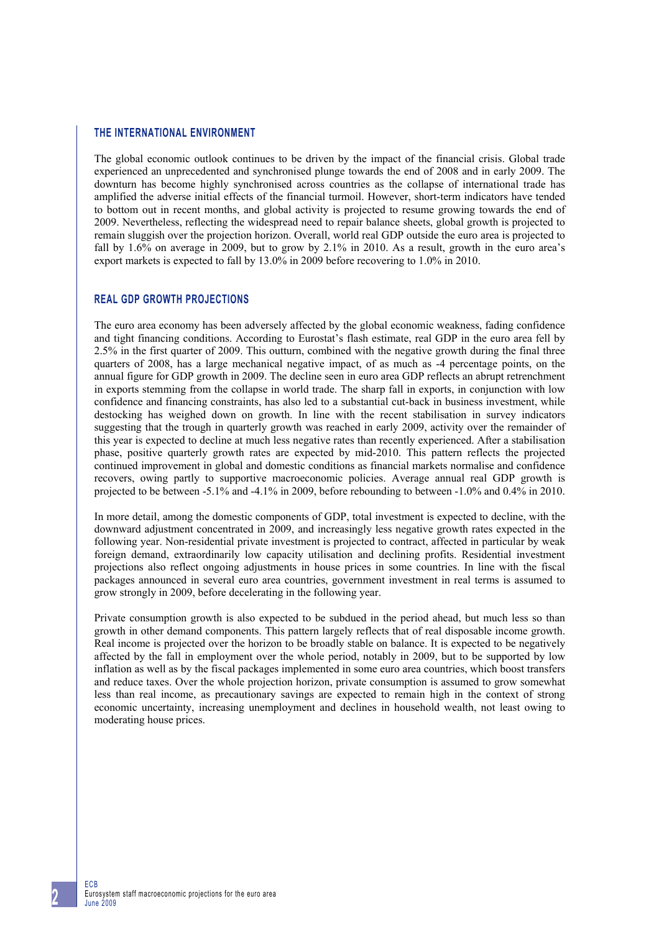#### **THE INTERNATIONAL ENVIRONMENT**

The global economic outlook continues to be driven by the impact of the financial crisis. Global trade experienced an unprecedented and synchronised plunge towards the end of 2008 and in early 2009. The downturn has become highly synchronised across countries as the collapse of international trade has amplified the adverse initial effects of the financial turmoil. However, short-term indicators have tended to bottom out in recent months, and global activity is projected to resume growing towards the end of 2009. Nevertheless, reflecting the widespread need to repair balance sheets, global growth is projected to remain sluggish over the projection horizon. Overall, world real GDP outside the euro area is projected to fall by 1.6% on average in 2009, but to grow by 2.1% in 2010. As a result, growth in the euro area's export markets is expected to fall by 13.0% in 2009 before recovering to 1.0% in 2010.

# **REAL GDP GROWTH PROJECTIONS**

The euro area economy has been adversely affected by the global economic weakness, fading confidence and tight financing conditions. According to Eurostat's flash estimate, real GDP in the euro area fell by 2.5% in the first quarter of 2009. This outturn, combined with the negative growth during the final three quarters of 2008, has a large mechanical negative impact, of as much as -4 percentage points, on the annual figure for GDP growth in 2009. The decline seen in euro area GDP reflects an abrupt retrenchment in exports stemming from the collapse in world trade. The sharp fall in exports, in conjunction with low confidence and financing constraints, has also led to a substantial cut-back in business investment, while destocking has weighed down on growth. In line with the recent stabilisation in survey indicators suggesting that the trough in quarterly growth was reached in early 2009, activity over the remainder of this year is expected to decline at much less negative rates than recently experienced. After a stabilisation phase, positive quarterly growth rates are expected by mid-2010. This pattern reflects the projected continued improvement in global and domestic conditions as financial markets normalise and confidence recovers, owing partly to supportive macroeconomic policies. Average annual real GDP growth is projected to be between -5.1% and -4.1% in 2009, before rebounding to between -1.0% and 0.4% in 2010.

In more detail, among the domestic components of GDP, total investment is expected to decline, with the downward adjustment concentrated in 2009, and increasingly less negative growth rates expected in the following year. Non-residential private investment is projected to contract, affected in particular by weak foreign demand, extraordinarily low capacity utilisation and declining profits. Residential investment projections also reflect ongoing adjustments in house prices in some countries. In line with the fiscal packages announced in several euro area countries, government investment in real terms is assumed to grow strongly in 2009, before decelerating in the following year.

Private consumption growth is also expected to be subdued in the period ahead, but much less so than growth in other demand components. This pattern largely reflects that of real disposable income growth. Real income is projected over the horizon to be broadly stable on balance. It is expected to be negatively affected by the fall in employment over the whole period, notably in 2009, but to be supported by low inflation as well as by the fiscal packages implemented in some euro area countries, which boost transfers and reduce taxes. Over the whole projection horizon, private consumption is assumed to grow somewhat less than real income, as precautionary savings are expected to remain high in the context of strong economic uncertainty, increasing unemployment and declines in household wealth, not least owing to moderating house prices.

ECB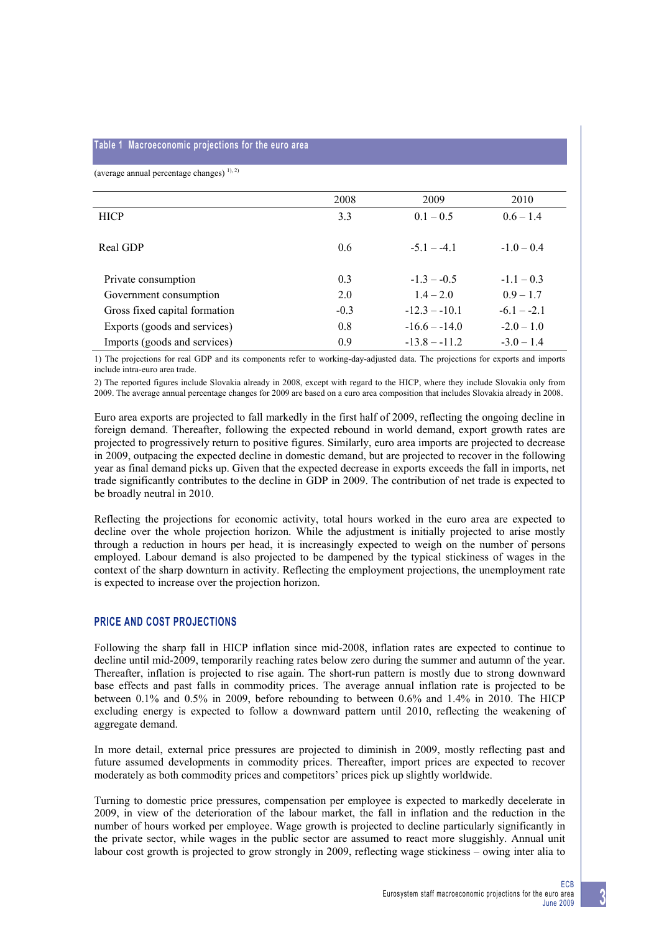#### **Table 1 Macroeconomic projections for the euro area**

(average annual percentage changes)  $^{1,2)}$ 

|                               | 2008   | 2009            | 2010          |
|-------------------------------|--------|-----------------|---------------|
| <b>HICP</b>                   | 3.3    | $0.1 - 0.5$     | $0.6 - 1.4$   |
|                               |        |                 |               |
| Real GDP                      | 0.6    | $-5.1 - -4.1$   | $-1.0 - 0.4$  |
|                               |        |                 |               |
| Private consumption           | 0.3    | $-1.3 - -0.5$   | $-1.1 - 0.3$  |
| Government consumption        | 2.0    | $14 - 20$       | $0.9 - 1.7$   |
| Gross fixed capital formation | $-0.3$ | $-12.3 - -10.1$ | $-6.1 - -2.1$ |
| Exports (goods and services)  | 0.8    | $-16.6 - -14.0$ | $-2.0 - 1.0$  |
| Imports (goods and services)  | 0.9    | $-13.8 - -11.2$ | $-3.0 - 1.4$  |

1) The projections for real GDP and its components refer to working-day-adjusted data. The projections for exports and imports include intra-euro area trade.

2) The reported figures include Slovakia already in 2008, except with regard to the HICP, where they include Slovakia only from 2009. The average annual percentage changes for 2009 are based on a euro area composition that includes Slovakia already in 2008.

Euro area exports are projected to fall markedly in the first half of 2009, reflecting the ongoing decline in foreign demand. Thereafter, following the expected rebound in world demand, export growth rates are projected to progressively return to positive figures. Similarly, euro area imports are projected to decrease in 2009, outpacing the expected decline in domestic demand, but are projected to recover in the following year as final demand picks up. Given that the expected decrease in exports exceeds the fall in imports, net trade significantly contributes to the decline in GDP in 2009. The contribution of net trade is expected to be broadly neutral in 2010.

Reflecting the projections for economic activity, total hours worked in the euro area are expected to decline over the whole projection horizon. While the adjustment is initially projected to arise mostly through a reduction in hours per head, it is increasingly expected to weigh on the number of persons employed. Labour demand is also projected to be dampened by the typical stickiness of wages in the context of the sharp downturn in activity. Reflecting the employment projections, the unemployment rate is expected to increase over the projection horizon.

## **PRICE AND COST PROJECTIONS**

Following the sharp fall in HICP inflation since mid-2008, inflation rates are expected to continue to decline until mid-2009, temporarily reaching rates below zero during the summer and autumn of the year. Thereafter, inflation is projected to rise again. The short-run pattern is mostly due to strong downward base effects and past falls in commodity prices. The average annual inflation rate is projected to be between 0.1% and 0.5% in 2009, before rebounding to between 0.6% and 1.4% in 2010. The HICP excluding energy is expected to follow a downward pattern until 2010, reflecting the weakening of aggregate demand.

In more detail, external price pressures are projected to diminish in 2009, mostly reflecting past and future assumed developments in commodity prices. Thereafter, import prices are expected to recover moderately as both commodity prices and competitors' prices pick up slightly worldwide.

Turning to domestic price pressures, compensation per employee is expected to markedly decelerate in 2009, in view of the deterioration of the labour market, the fall in inflation and the reduction in the number of hours worked per employee. Wage growth is projected to decline particularly significantly in the private sector, while wages in the public sector are assumed to react more sluggishly. Annual unit labour cost growth is projected to grow strongly in 2009, reflecting wage stickiness – owing inter alia to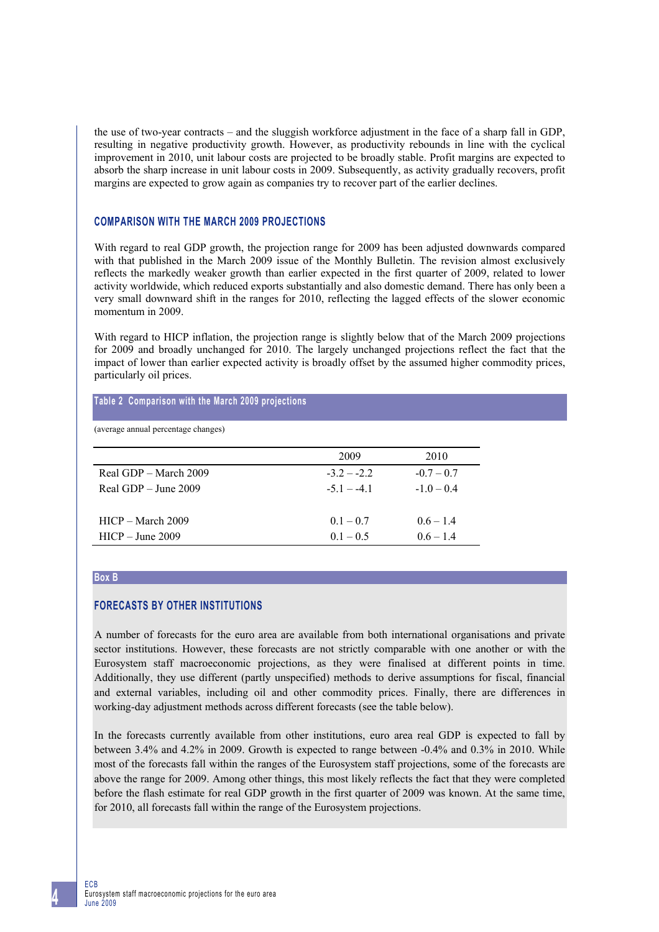the use of two-year contracts – and the sluggish workforce adjustment in the face of a sharp fall in GDP, resulting in negative productivity growth. However, as productivity rebounds in line with the cyclical improvement in 2010, unit labour costs are projected to be broadly stable. Profit margins are expected to absorb the sharp increase in unit labour costs in 2009. Subsequently, as activity gradually recovers, profit margins are expected to grow again as companies try to recover part of the earlier declines.

## **COMPARISON WITH THE MARCH 2009 PROJECTIONS**

With regard to real GDP growth, the projection range for 2009 has been adjusted downwards compared with that published in the March 2009 issue of the Monthly Bulletin. The revision almost exclusively reflects the markedly weaker growth than earlier expected in the first quarter of 2009, related to lower activity worldwide, which reduced exports substantially and also domestic demand. There has only been a very small downward shift in the ranges for 2010, reflecting the lagged effects of the slower economic momentum in 2009.

With regard to HICP inflation, the projection range is slightly below that of the March 2009 projections for 2009 and broadly unchanged for 2010. The largely unchanged projections reflect the fact that the impact of lower than earlier expected activity is broadly offset by the assumed higher commodity prices, particularly oil prices.

#### **Table 2 Comparison with the March 2009 projections**

(average annual percentage changes)

|                        | 2009        | 2010         |  |
|------------------------|-------------|--------------|--|
| Real GDP – March 2009  | $-32 - -22$ | $-0.7 - 0.7$ |  |
| Real GDP $-$ June 2009 | $-51 - -41$ | $-10-04$     |  |
|                        |             |              |  |
| $HICP - March 2009$    | $0.1 - 0.7$ | $0.6 - 1.4$  |  |
| $HICP - June 2009$     | $0.1 - 0.5$ | $06 - 14$    |  |

#### **Box B**

## **FORECASTS BY OTHER INSTITUTIONS**

A number of forecasts for the euro area are available from both international organisations and private sector institutions. However, these forecasts are not strictly comparable with one another or with the Eurosystem staff macroeconomic projections, as they were finalised at different points in time. Additionally, they use different (partly unspecified) methods to derive assumptions for fiscal, financial and external variables, including oil and other commodity prices. Finally, there are differences in working-day adjustment methods across different forecasts (see the table below).

In the forecasts currently available from other institutions, euro area real GDP is expected to fall by between 3.4% and 4.2% in 2009. Growth is expected to range between -0.4% and 0.3% in 2010. While most of the forecasts fall within the ranges of the Eurosystem staff projections, some of the forecasts are above the range for 2009. Among other things, this most likely reflects the fact that they were completed before the flash estimate for real GDP growth in the first quarter of 2009 was known. At the same time, for 2010, all forecasts fall within the range of the Eurosystem projections.

ECB